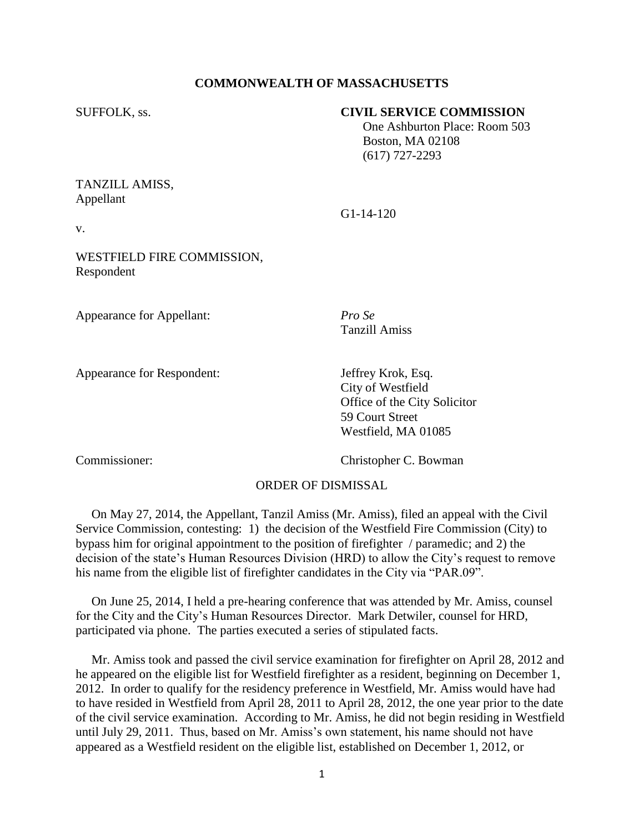## **COMMONWEALTH OF MASSACHUSETTS**

## SUFFOLK, ss. **CIVIL SERVICE COMMISSION**

 One Ashburton Place: Room 503 Boston, MA 02108 (617) 727-2293

## TANZILL AMISS, Appellant

v.

WESTFIELD FIRE COMMISSION, Respondent

Appearance for Appellant: *Pro Se*

Appearance for Respondent: Jeffrey Krok, Esq.

Tanzill Amiss

G1-14-120

City of Westfield Office of the City Solicitor 59 Court Street Westfield, MA 01085

Commissioner: Christopher C. Bowman

## ORDER OF DISMISSAL

 On May 27, 2014, the Appellant, Tanzil Amiss (Mr. Amiss), filed an appeal with the Civil Service Commission, contesting: 1) the decision of the Westfield Fire Commission (City) to bypass him for original appointment to the position of firefighter / paramedic; and 2) the decision of the state's Human Resources Division (HRD) to allow the City's request to remove his name from the eligible list of firefighter candidates in the City via "PAR.09".

 On June 25, 2014, I held a pre-hearing conference that was attended by Mr. Amiss, counsel for the City and the City's Human Resources Director. Mark Detwiler, counsel for HRD, participated via phone. The parties executed a series of stipulated facts.

 Mr. Amiss took and passed the civil service examination for firefighter on April 28, 2012 and he appeared on the eligible list for Westfield firefighter as a resident, beginning on December 1, 2012. In order to qualify for the residency preference in Westfield, Mr. Amiss would have had to have resided in Westfield from April 28, 2011 to April 28, 2012, the one year prior to the date of the civil service examination. According to Mr. Amiss, he did not begin residing in Westfield until July 29, 2011. Thus, based on Mr. Amiss's own statement, his name should not have appeared as a Westfield resident on the eligible list, established on December 1, 2012, or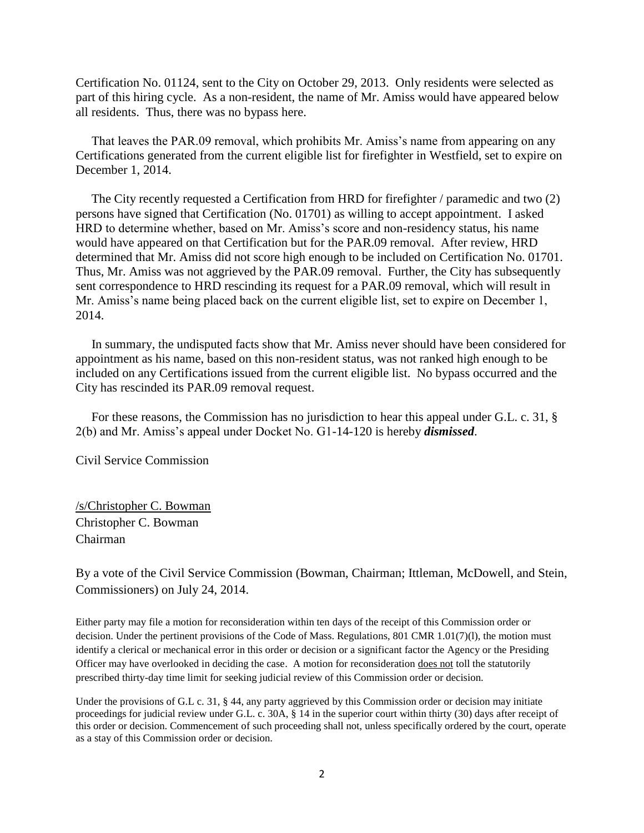Certification No. 01124, sent to the City on October 29, 2013. Only residents were selected as part of this hiring cycle. As a non-resident, the name of Mr. Amiss would have appeared below all residents. Thus, there was no bypass here.

 That leaves the PAR.09 removal, which prohibits Mr. Amiss's name from appearing on any Certifications generated from the current eligible list for firefighter in Westfield, set to expire on December 1, 2014.

 The City recently requested a Certification from HRD for firefighter / paramedic and two (2) persons have signed that Certification (No. 01701) as willing to accept appointment. I asked HRD to determine whether, based on Mr. Amiss's score and non-residency status, his name would have appeared on that Certification but for the PAR.09 removal. After review, HRD determined that Mr. Amiss did not score high enough to be included on Certification No. 01701. Thus, Mr. Amiss was not aggrieved by the PAR.09 removal. Further, the City has subsequently sent correspondence to HRD rescinding its request for a PAR.09 removal, which will result in Mr. Amiss's name being placed back on the current eligible list, set to expire on December 1, 2014.

 In summary, the undisputed facts show that Mr. Amiss never should have been considered for appointment as his name, based on this non-resident status, was not ranked high enough to be included on any Certifications issued from the current eligible list. No bypass occurred and the City has rescinded its PAR.09 removal request.

 For these reasons, the Commission has no jurisdiction to hear this appeal under G.L. c. 31, § 2(b) and Mr. Amiss's appeal under Docket No. G1-14-120 is hereby *dismissed*.

Civil Service Commission

/s/Christopher C. Bowman Christopher C. Bowman Chairman

By a vote of the Civil Service Commission (Bowman, Chairman; Ittleman, McDowell, and Stein, Commissioners) on July 24, 2014.

Either party may file a motion for reconsideration within ten days of the receipt of this Commission order or decision. Under the pertinent provisions of the Code of Mass. Regulations, 801 CMR 1.01(7)(1), the motion must identify a clerical or mechanical error in this order or decision or a significant factor the Agency or the Presiding Officer may have overlooked in deciding the case. A motion for reconsideration does not toll the statutorily prescribed thirty-day time limit for seeking judicial review of this Commission order or decision.

Under the provisions of G.L c. 31, § 44, any party aggrieved by this Commission order or decision may initiate proceedings for judicial review under G.L. c. 30A, § 14 in the superior court within thirty (30) days after receipt of this order or decision. Commencement of such proceeding shall not, unless specifically ordered by the court, operate as a stay of this Commission order or decision.